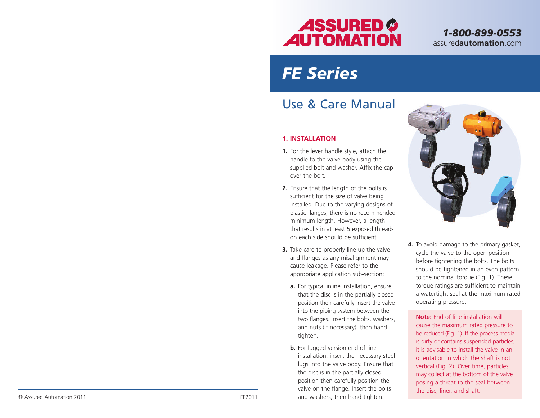

*1-800-899-0553* assured**automation**.com

# *FE Series*

## Use & Care Manual

#### **1. INSTALLATION**

- **1.** For the lever handle style, attach the handle to the valve body using the supplied bolt and washer. Affix the cap over the bolt.
- **2.** Ensure that the length of the bolts is sufficient for the size of valve being installed. Due to the varying designs of plastic flanges, there is no recommended minimum length. However, a length that results in at least 5 exposed threads on each side should be sufficient.
- **3.** Take care to properly line up the valve and flanges as any misalignment may cause leakage. Please refer to the appropriate application sub-section:
	- **a.** For typical inline installation, ensure that the disc is in the partially closed position then carefully insert the valve into the piping system between the two flanges. Insert the bolts, washers, and nuts (if necessary), then hand tighten.
- **b.** For lugged version end of line installation, insert the necessary steel lugs into the valve body. Ensure that the disc is in the partially closed position then carefully position the valve on the flange. Insert the bolts © Assured Automation 2011 FE2011 and washers, then hand tighten.



**4.** To avoid damage to the primary gasket, cycle the valve to the open position before tightening the bolts. The bolts should be tightened in an even pattern to the nominal torque (Fig. 1). These torque ratings are sufficient to maintain a watertight seal at the maximum rated operating pressure.

**Note:** End of line installation will cause the maximum rated pressure to be reduced (Fig. 1). If the process media is dirty or contains suspended particles, it is advisable to install the valve in an orientation in which the shaft is not vertical (Fig. 2). Over time, particles may collect at the bottom of the valve posing a threat to the seal between the disc, liner, and shaft.